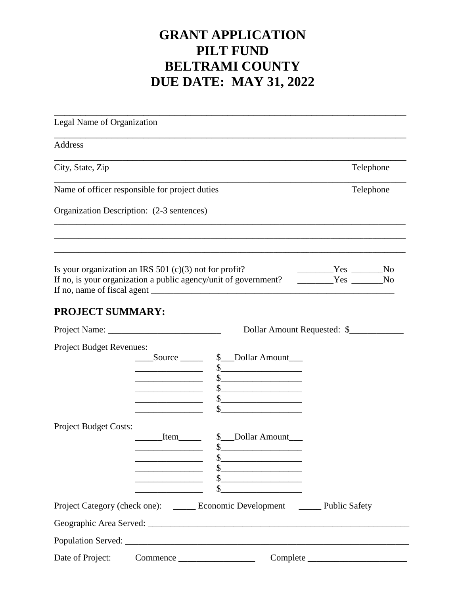## **GRANT APPLICATION PILT FUND BELTRAMI COUNTY DUE DATE: MAY 31, 2022**

| Legal Name of Organization                               |                                                                                                                                                                           |                                                                                                             |                             |
|----------------------------------------------------------|---------------------------------------------------------------------------------------------------------------------------------------------------------------------------|-------------------------------------------------------------------------------------------------------------|-----------------------------|
| Address                                                  |                                                                                                                                                                           |                                                                                                             |                             |
| City, State, Zip                                         | Telephone                                                                                                                                                                 |                                                                                                             |                             |
| Name of officer responsible for project duties           | Telephone                                                                                                                                                                 |                                                                                                             |                             |
| Organization Description: (2-3 sentences)                |                                                                                                                                                                           |                                                                                                             |                             |
| Is your organization an IRS 501 $(c)(3)$ not for profit? |                                                                                                                                                                           | If no, is your organization a public agency/unit of government?                                             | $Yes$ No<br>Yes No          |
| <b>PROJECT SUMMARY:</b>                                  |                                                                                                                                                                           |                                                                                                             |                             |
|                                                          |                                                                                                                                                                           |                                                                                                             | Dollar Amount Requested: \$ |
| <b>Project Budget Revenues:</b>                          | $\text{Source}$                                                                                                                                                           | \$ __ Dollar Amount<br>$\frac{1}{2}$<br>$\frac{1}{2}$<br>$\frac{\text{S}}{\text{S}}$<br>$\frac{1}{2}$<br>\$ |                             |
| <b>Project Budget Costs:</b>                             | Item<br><u> 1989 - Johann Barbara, martxa a</u><br><u> 1989 - Johann John Stone, mars 1989 - John Stone, mars 1989 - John Stone, mars 1989 - John Stone, mars 1989 - </u> | \$ __ Dollar Amount<br>\$<br>$\frac{1}{2}$<br>$\frac{1}{2}$<br>$\frac{1}{2}$<br>\$                          |                             |
|                                                          |                                                                                                                                                                           | Project Category (check one): ______ Economic Development _______ Public Safety                             |                             |
|                                                          |                                                                                                                                                                           |                                                                                                             |                             |
|                                                          |                                                                                                                                                                           |                                                                                                             |                             |
|                                                          |                                                                                                                                                                           |                                                                                                             |                             |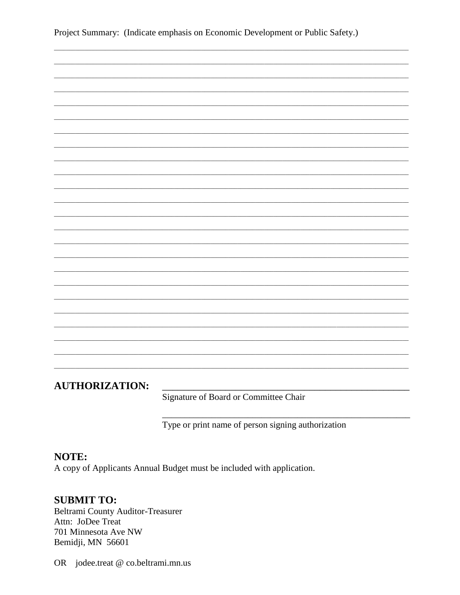Project Summary: (Indicate emphasis on Economic Development or Public Safety.)

| <b>AUTHORIZATION:</b> |  |  |  |  |
|-----------------------|--|--|--|--|

Signature of Board or Committee Chair

Type or print name of person signing authorization

## NOTE:

A copy of Applicants Annual Budget must be included with application.

## **SUBMIT TO:**

**Beltrami County Auditor-Treasurer** Attn: JoDee Treat 701 Minnesota Ave NW Bemidji, MN 56601

OR jodee.treat @ co.beltrami.mn.us